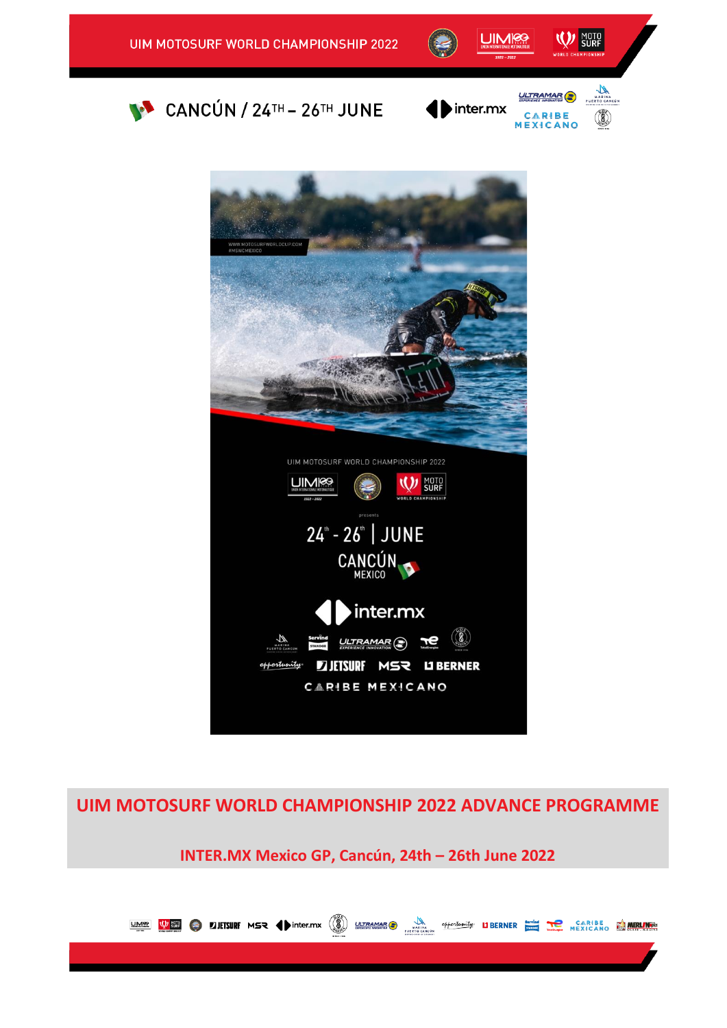









**UIM MOTOSURF WORLD CHAMPIONSHIP 2022 ADVANCE PROGRAMME** 

**INTER.MX Mexico GP, Cancún, 24th – 26th June 2022**

UME VE O LITSURF MSR (Dinter.mx (A) UTRAMARO MARIAM Offentantly UBERNER TO MEAN BE MEASURE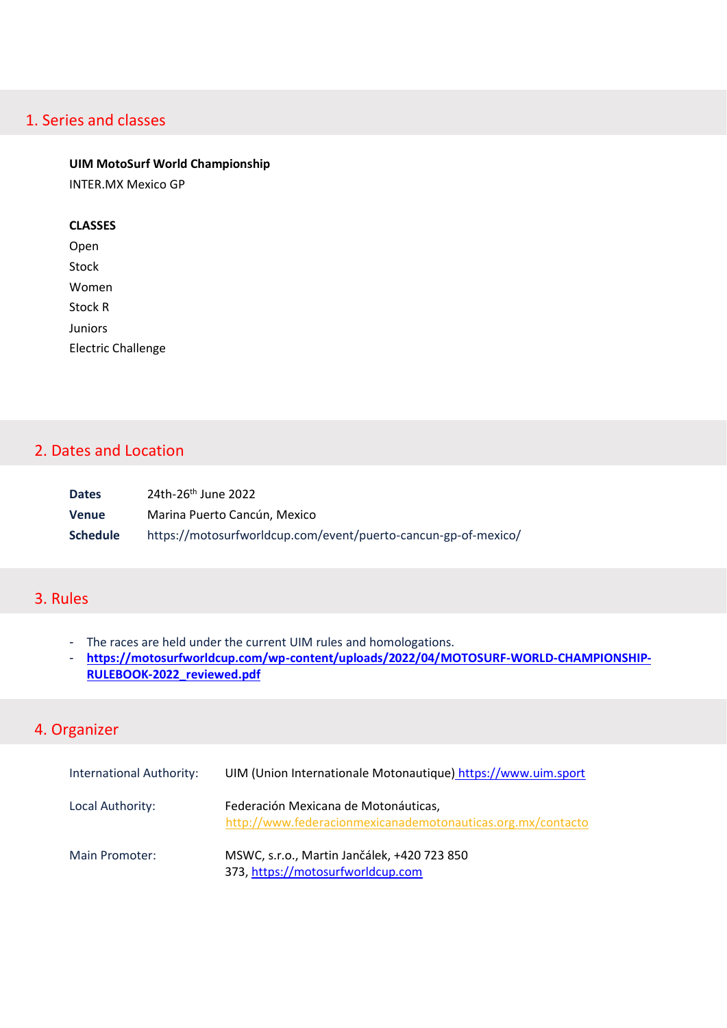# 1. Series and classes

#### **UIM MotoSurf World Championship**

INTER.MX Mexico GP

#### **CLASSES**

Open Stock Women Stock R Juniors Electric Challenge

## 2. Dates and Location

| <b>Dates</b>    | 24th-26 <sup>th</sup> June 2022                                |
|-----------------|----------------------------------------------------------------|
| <b>Venue</b>    | Marina Puerto Cancún, Mexico                                   |
| <b>Schedule</b> | https://motosurfworldcup.com/event/puerto-cancun-gp-of-mexico/ |

# 3. Rules

- The races are held under the current UIM rules and homologations.
- [https://motosurfworldcup.com/wp-content/uploads/2022/04/MOTOSURF-WORLD-CHAMPIONSHIP-](https://motosurfworldcup.com/wp-content/uploads/2022/04/MOTOSURF-WORLD-CHAMPIONSHIP-RULEBOOK-2022_reviewed.pdf)**[RULEBOOK-2022\\_reviewed.pdf](https://motosurfworldcup.com/wp-content/uploads/2022/04/MOTOSURF-WORLD-CHAMPIONSHIP-RULEBOOK-2022_reviewed.pdf)**

# 4. Organizer

| <b>International Authority:</b> | UIM (Union Internationale Motonautique) https://www.uim.sport                                       |
|---------------------------------|-----------------------------------------------------------------------------------------------------|
| Local Authority:                | Federación Mexicana de Motonáuticas,<br>http://www.federacionmexicanademotonauticas.org.mx/contacto |
| Main Promoter:                  | MSWC, s.r.o., Martin Jančálek, +420 723 850<br>373, https://motosurfworldcup.com                    |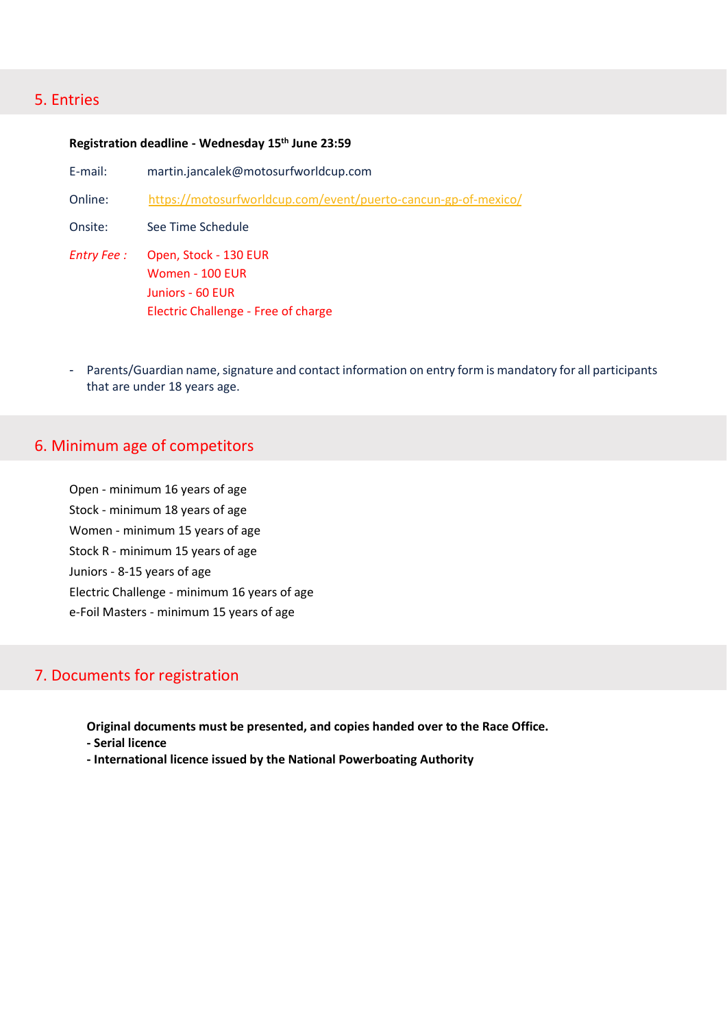#### 5. Entries

#### **Registration deadline - Wednesday 15th June 23:59**

- E-mail: martin.jancalek@motosurfworldcup.com
- Online: <https://motosurfworldcup.com/event/puerto-cancun-gp-of-mexico/>
- Onsite: See Time Schedule
- *Entry Fee :* Open, Stock 130 EUR Women - 100 EUR Juniors - 60 EUR Electric Challenge - Free of charge
- Parents/Guardian name, signature and contact information on entry form is mandatory for all participants that are under 18 years age.

#### 6. Minimum age of competitors

Open - minimum 16 years of age Stock - minimum 18 years of age Women - minimum 15 years of age Stock R - minimum 15 years of age Juniors - 8-15 years of age Electric Challenge - minimum 16 years of age e-Foil Masters - minimum 15 years of age

## 7. Documents for registration

**Original documents must be presented, and copies handed over to the Race Office.**

- **- Serial licence**
- **- International licence issued by the National Powerboating Authority**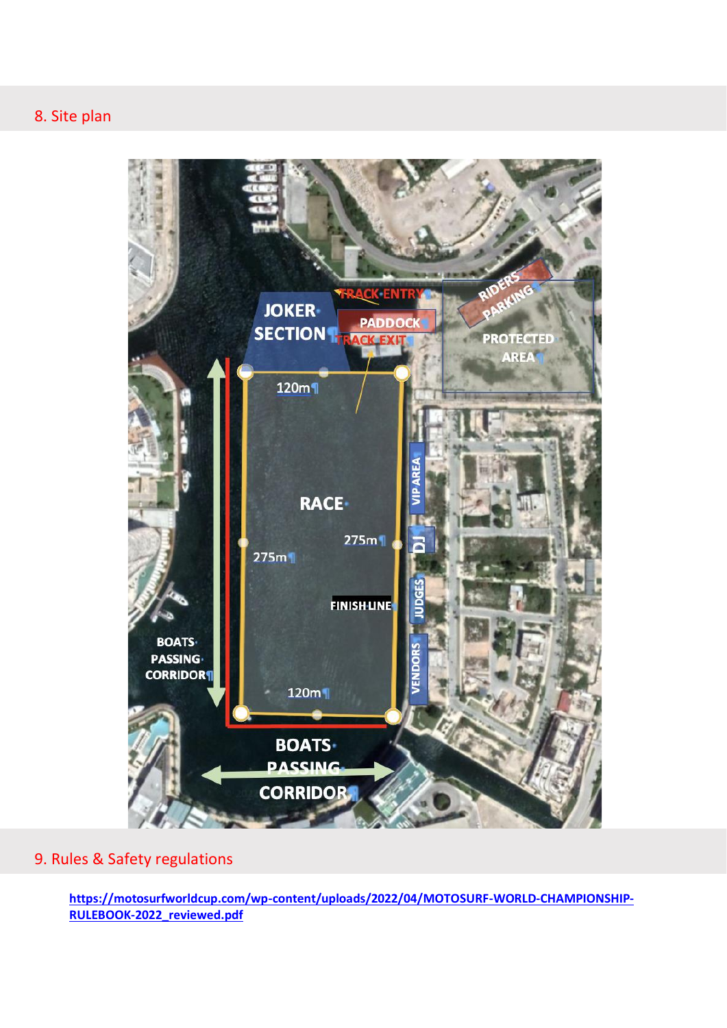

# 9. Rules & Safety regulations

**[https://motosurfworldcup.com/wp-content/uploads/2022/04/MOTOSURF-WORLD-CHAMPIONSHIP-](https://motosurfworldcup.com/wp-content/uploads/2022/04/MOTOSURF-WORLD-CHAMPIONSHIP-RULEBOOK-2022_reviewed.pdf)[RULEBOOK-2022\\_reviewed.pdf](https://motosurfworldcup.com/wp-content/uploads/2022/04/MOTOSURF-WORLD-CHAMPIONSHIP-RULEBOOK-2022_reviewed.pdf)**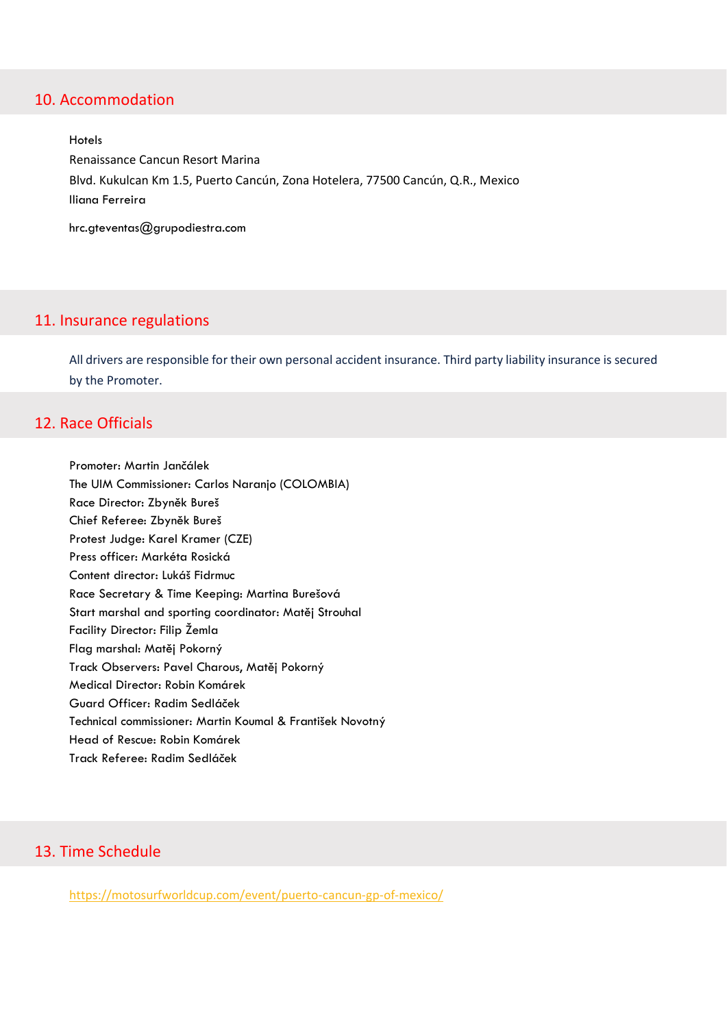### 10. Accommodation

Hotels Renaissance Cancun Resort Marina Blvd. Kukulcan Km 1.5, Puerto Cancún, Zona Hotelera, 77500 Cancún, Q.R., Mexico Iliana Ferreira

hrc.gteventas@grupodiestra.com

#### 11. Insurance regulations

All drivers are responsible for their own personal accident insurance. Third party liability insurance is secured by the Promoter.

## 12. Race Officials

Promoter: Martin Jančálek The UIM Commissioner: Carlos Naranjo (COLOMBIA) Race Director: Zbyněk Bureš Chief Referee: Zbyněk Bureš Protest Judge: Karel Kramer (CZE) Press officer: Markéta Rosická Content director: Lukáš Fidrmuc Race Secretary & Time Keeping: Martina Burešová Start marshal and sporting coordinator: Matěj Strouhal Facility Director: Filip Žemla Flag marshal: Matěj Pokorný Track Observers: Pavel Charous, Matěj Pokorný Medical Director: Robin Komárek Guard Officer: Radim Sedláček Technical commissioner: Martin Koumal & František Novotný Head of Rescue: Robin Komárek Track Referee: Radim Sedláček

# 13. Time Schedule

<https://motosurfworldcup.com/event/puerto-cancun-gp-of-mexico/>